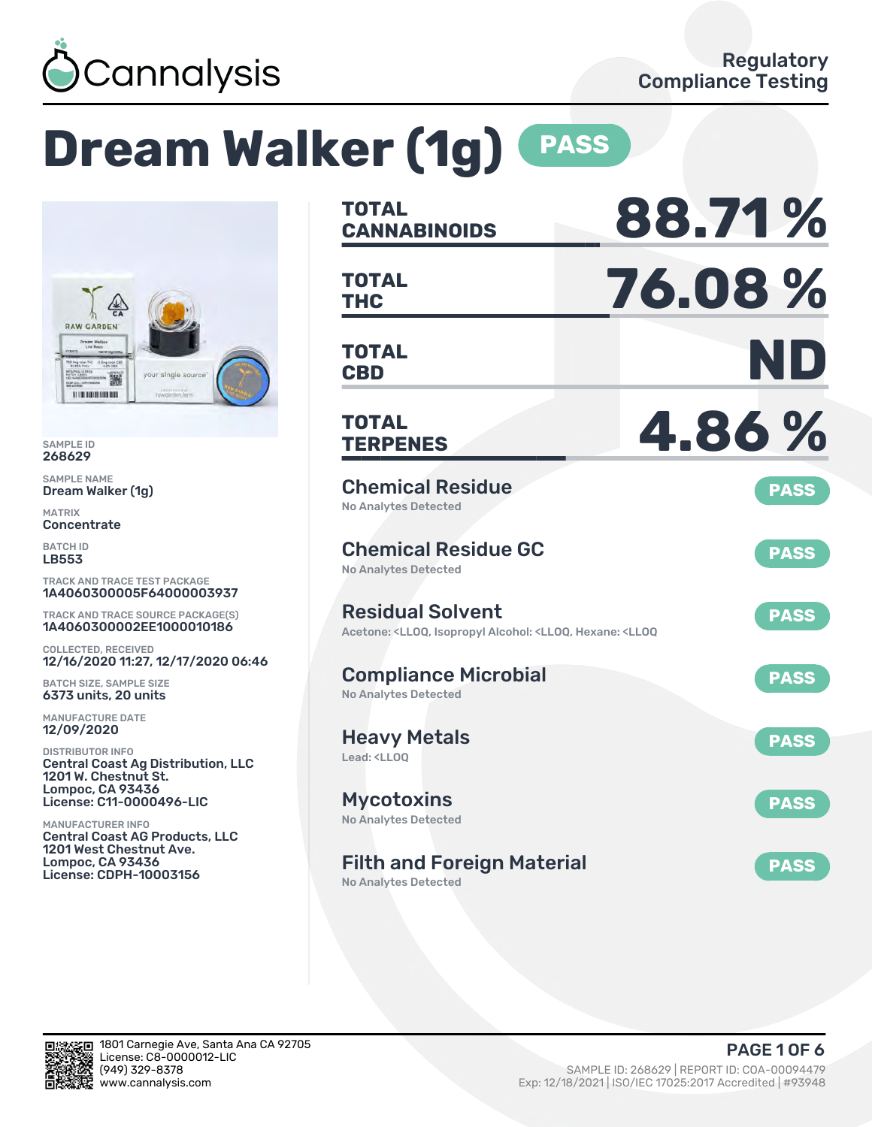

# **Dream Walker (1g) PASS**



SAMPLE ID 268629

SAMPLE NAME Dream Walker (1g)

MATRIX **Concentrate** 

BATCH ID LB553

TRACK AND TRACE TEST PACKAGE 1A4060300005F64000003937

TRACK AND TRACE SOURCE PACKAGE(S) 1A4060300002EE1000010186

COLLECTED, RECEIVED 12/16/2020 11:27, 12/17/2020 06:46

BATCH SIZE, SAMPLE SIZE 6373 units, 20 units

MANUFACTURE DATE 12/09/2020

DISTRIBUTOR INFO Central Coast Ag Distribution, LLC 1201 W. Chestnut St. Lompoc, CA 93436 License: C11-0000496-LIC

MANUFACTURER INFO Central Coast AG Products, LLC 1201 West Chestnut Ave. Lompoc, CA 93436 License: CDPH-10003156

| <b>TOTAL</b><br><b>CANNABINOIDS</b>                                                                                                   | 88.71%      |
|---------------------------------------------------------------------------------------------------------------------------------------|-------------|
| <b>TOTAL</b><br>THC                                                                                                                   | 76.08%      |
| <b>TOTAL</b><br><b>CBD</b>                                                                                                            | ND          |
| <b>TOTAL</b><br><b>TERPENES</b>                                                                                                       | 4.86%       |
| <b>Chemical Residue</b><br><b>No Analytes Detected</b>                                                                                | <b>PASS</b> |
| <b>Chemical Residue GC</b><br><b>No Analytes Detected</b>                                                                             | <b>PASS</b> |
| <b>Residual Solvent</b><br>Acetone: <lloq, <lloq,="" <lloq<="" alcohol:="" hexane:="" isopropyl="" td=""><td><b>PASS</b></td></lloq,> | <b>PASS</b> |
| <b>Compliance Microbial</b><br><b>No Analytes Detected</b>                                                                            | <b>PASS</b> |
| <b>Heavy Metals</b><br>Lead: <ll00< td=""><td><b>PASS</b></td></ll00<>                                                                | <b>PASS</b> |
| <b>Mycotoxins</b><br><b>No Analytes Detected</b>                                                                                      | <b>PASS</b> |
| <b>Filth and Foreign Material</b><br><b>No Analytes Detected</b>                                                                      | <b>PASS</b> |

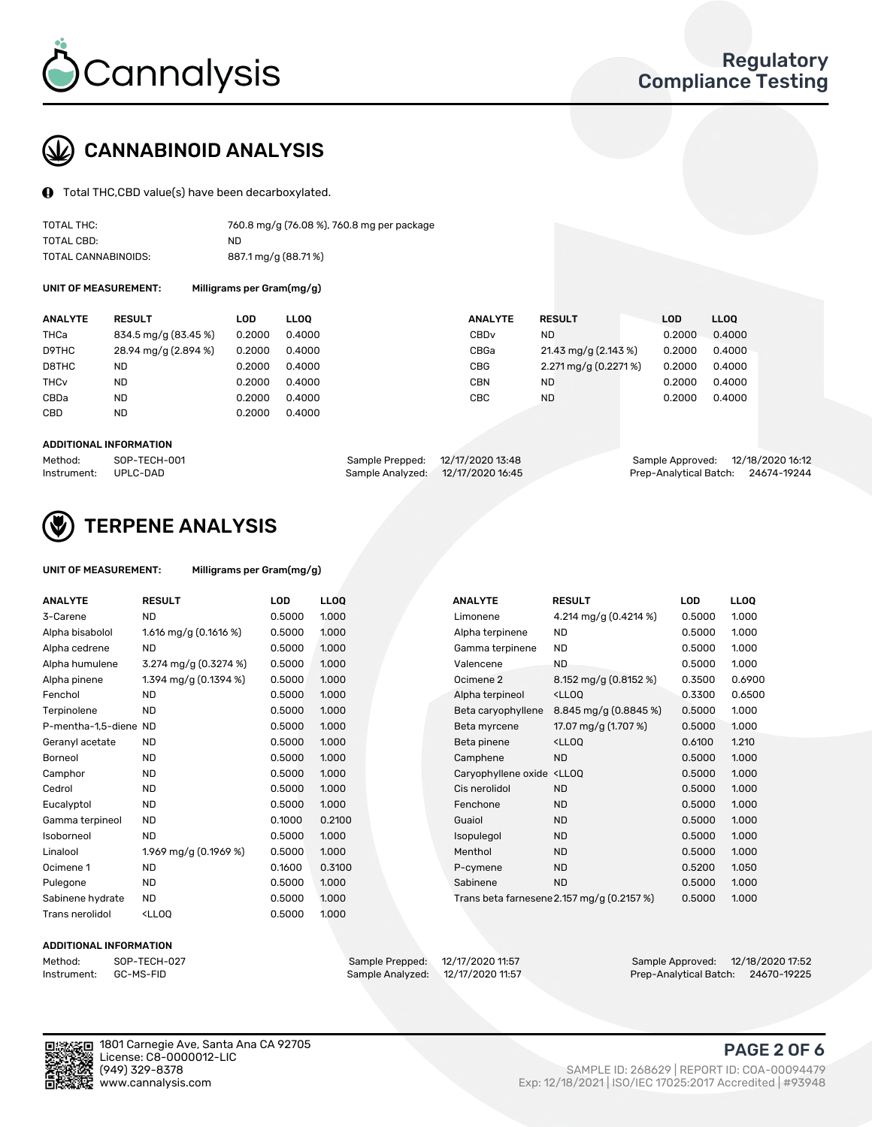

## CANNABINOID ANALYSIS

Total THC,CBD value(s) have been decarboxylated.

| TOTAL THC:          | 760.8 mg/g (76.08 %), 760.8 mg per package |
|---------------------|--------------------------------------------|
| TOTAL CBD:          | ND.                                        |
| TOTAL CANNABINOIDS: | 887.1 mg/g (88.71%)                        |

UNIT OF MEASUREMENT: Milligrams per Gram(mg/g)

| <b>ANALYTE</b>         | <b>RESULT</b>        | LOD    | <b>LLOO</b> | <b>ANALYTE</b>   | <b>RESULT</b>         | <b>LOD</b> | LL <sub>00</sub> |
|------------------------|----------------------|--------|-------------|------------------|-----------------------|------------|------------------|
| THCa                   | 834.5 mg/g (83.45 %) | 0.2000 | 0.4000      | CBD <sub>v</sub> | <b>ND</b>             | 0.2000     | 0.4000           |
| D9THC                  | 28.94 mg/g (2.894 %) | 0.2000 | 0.4000      | CBGa             | 21.43 mg/g (2.143 %)  | 0.2000     | 0.4000           |
| D8THC                  | <b>ND</b>            | 0.2000 | 0.4000      | <b>CBG</b>       | 2.271 mg/g (0.2271 %) | 0.2000     | 0.4000           |
| <b>THC<sub>v</sub></b> | <b>ND</b>            | 0.2000 | 0.4000      | <b>CBN</b>       | <b>ND</b>             | 0.2000     | 0.4000           |
| CBDa                   | <b>ND</b>            | 0.2000 | 0.4000      | CBC              | <b>ND</b>             | 0.2000     | 0.4000           |
| <b>CBD</b>             | <b>ND</b>            | 0.2000 | 0.4000      |                  |                       |            |                  |
|                        |                      |        |             |                  |                       |            |                  |

#### ADDITIONAL INFORMATION

| Method:              | SOP-TECH-001 | Sample Prepped: 12/17/2020 13:48 |                                   | Sample Approved: 12/18/2020 16:12  |  |
|----------------------|--------------|----------------------------------|-----------------------------------|------------------------------------|--|
| Instrument: UPLC-DAD |              |                                  | Sample Analyzed: 12/17/2020 16:45 | Prep-Analytical Batch: 24674-19244 |  |



## TERPENE ANALYSIS

UNIT OF MEASUREMENT: Milligrams per Gram(mg/g)

| <b>ANALYTE</b>        | <b>RESULT</b>                                                                          | <b>LOD</b> | <b>LLOQ</b> | <b>ANALYTE</b>       | <b>RESULT</b>                                       | LOD    | <b>LLOQ</b> |
|-----------------------|----------------------------------------------------------------------------------------|------------|-------------|----------------------|-----------------------------------------------------|--------|-------------|
| 3-Carene              | <b>ND</b>                                                                              | 0.5000     | 1.000       | Limonene             | 4.214 mg/g (0.4214 %)                               | 0.5000 | 1.000       |
| Alpha bisabolol       | 1.616 mg/g $(0.1616%)$                                                                 | 0.5000     | 1.000       | Alpha terpinene      | <b>ND</b>                                           | 0.5000 | 1.000       |
| Alpha cedrene         | ND.                                                                                    | 0.5000     | 1.000       | Gamma terpinene      | <b>ND</b>                                           | 0.5000 | 1.000       |
| Alpha humulene        | 3.274 mg/g (0.3274 %)                                                                  | 0.5000     | 1.000       | Valencene            | <b>ND</b>                                           | 0.5000 | 1.000       |
| Alpha pinene          | 1.394 mg/g (0.1394 %)                                                                  | 0.5000     | 1.000       | Ocimene <sub>2</sub> | 8.152 mg/g (0.8152 %)                               | 0.3500 | 0.6900      |
| Fenchol               | <b>ND</b>                                                                              | 0.5000     | 1.000       | Alpha terpineol      | <lloq< td=""><td>0.3300</td><td>0.6500</td></lloq<> | 0.3300 | 0.6500      |
| Terpinolene           | <b>ND</b>                                                                              | 0.5000     | 1.000       | Beta caryophyllene   | 8.845 mg/g (0.8845 %)                               | 0.5000 | 1.000       |
| P-mentha-1,5-diene ND |                                                                                        | 0.5000     | 1.000       | Beta myrcene         | 17.07 mg/g (1.707 %)                                | 0.5000 | 1.000       |
| Geranyl acetate       | ND                                                                                     | 0.5000     | 1.000       | Beta pinene          | <ll0q< td=""><td>0.6100</td><td>1.210</td></ll0q<>  | 0.6100 | 1.210       |
| Borneol               | <b>ND</b>                                                                              | 0.5000     | 1.000       | Camphene             | <b>ND</b>                                           | 0.5000 | 1.000       |
| Camphor               | <b>ND</b>                                                                              | 0.5000     | 1.000       | Caryophyllene oxide  | <lloq< td=""><td>0.5000</td><td>1.000</td></lloq<>  | 0.5000 | 1.000       |
| Cedrol                | ND                                                                                     | 0.5000     | 1.000       | Cis nerolidol        | <b>ND</b>                                           | 0.5000 | 1.000       |
| Eucalyptol            | <b>ND</b>                                                                              | 0.5000     | 1.000       | Fenchone             | <b>ND</b>                                           | 0.5000 | 1.000       |
| Gamma terpineol       | <b>ND</b>                                                                              | 0.1000     | 0.2100      | Guaiol               | <b>ND</b>                                           | 0.5000 | 1.000       |
| Isoborneol            | <b>ND</b>                                                                              | 0.5000     | 1.000       | Isopulegol           | <b>ND</b>                                           | 0.5000 | 1.000       |
| Linalool              | 1.969 mg/g (0.1969 %)                                                                  | 0.5000     | 1.000       | Menthol              | <b>ND</b>                                           | 0.5000 | 1.000       |
| Ocimene 1             | ND                                                                                     | 0.1600     | 0.3100      | P-cymene             | <b>ND</b>                                           | 0.5200 | 1.050       |
| Pulegone              | <b>ND</b>                                                                              | 0.5000     | 1.000       | Sabinene             | <b>ND</b>                                           | 0.5000 | 1.000       |
| Sabinene hydrate      | <b>ND</b>                                                                              | 0.5000     | 1.000       |                      | Trans beta farnesene 2.157 mg/g (0.2157 %)          | 0.5000 | 1.000       |
| Trans nerolidol       | <lloo< td=""><td>0.5000</td><td>1.000</td><td></td><td></td><td></td><td></td></lloo<> | 0.5000     | 1.000       |                      |                                                     |        |             |

#### ADDITIONAL INFORMATION

Method: SOP-TECH-027 Sample Prepped: 12/17/2020 11:57 Sample Approved: 12/18/2020 17:52 Sample Analyzed: 12/17/2020 11:57 Prep-Analytical Batch: 24670-19225



1801 Carnegie Ave, Santa Ana CA 92705 License: C8-0000012-LIC

### PAGE 2 OF 6

(949) 329-8378 SAMPLE ID: 268629 | REPORT ID: COA-00094479 Exp: 12/18/2021 | ISO/IEC 17025:2017 Accredited | #93948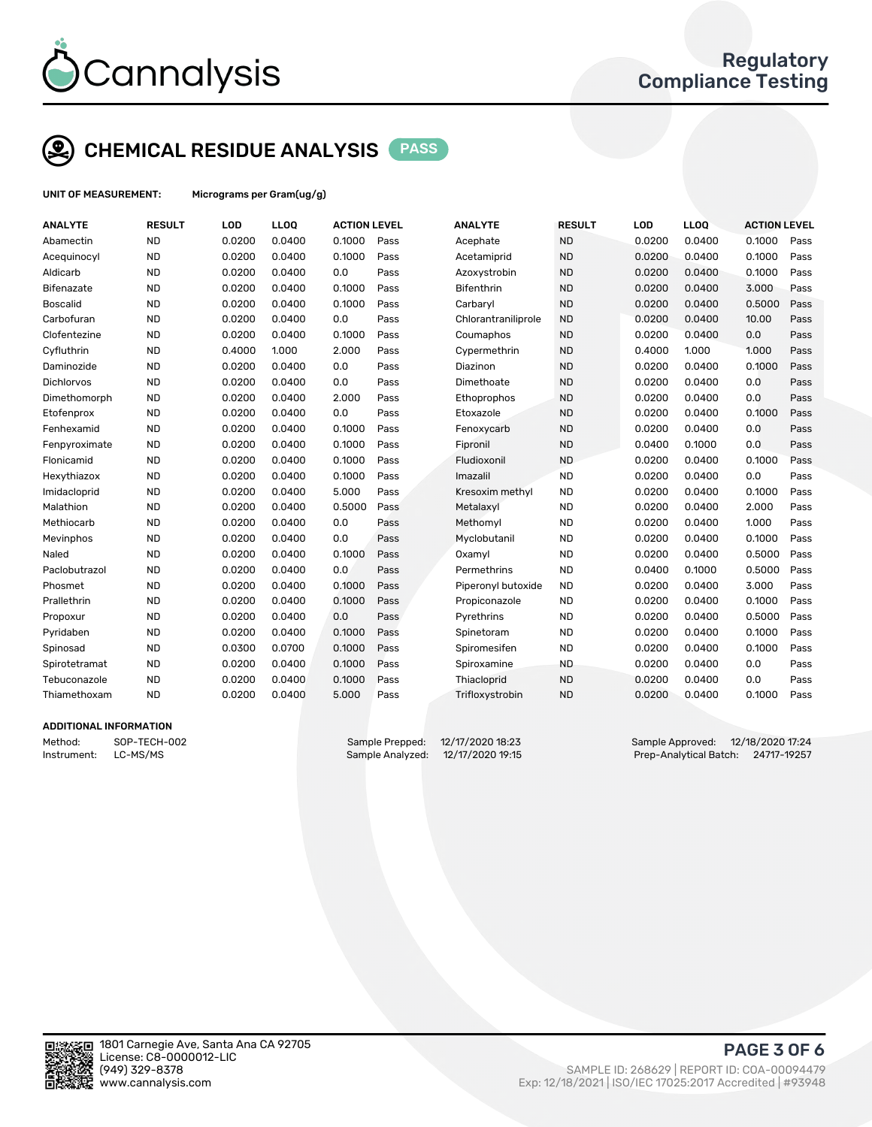

## CHEMICAL RESIDUE ANALYSIS PASS

UNIT OF MEASUREMENT: Micrograms per Gram(ug/g)

| <b>ANALYTE</b>    | <b>RESULT</b> | LOD    | <b>LLOQ</b> | <b>ACTION LEVEL</b> |      | <b>ANALYTE</b>      | <b>RESULT</b> | LOD    | <b>LLOQ</b> | <b>ACTION LEVEL</b> |      |
|-------------------|---------------|--------|-------------|---------------------|------|---------------------|---------------|--------|-------------|---------------------|------|
| Abamectin         | <b>ND</b>     | 0.0200 | 0.0400      | 0.1000              | Pass | Acephate            | <b>ND</b>     | 0.0200 | 0.0400      | 0.1000              | Pass |
| Acequinocyl       | <b>ND</b>     | 0.0200 | 0.0400      | 0.1000              | Pass | Acetamiprid         | <b>ND</b>     | 0.0200 | 0.0400      | 0.1000              | Pass |
| Aldicarb          | <b>ND</b>     | 0.0200 | 0.0400      | 0.0                 | Pass | Azoxystrobin        | <b>ND</b>     | 0.0200 | 0.0400      | 0.1000              | Pass |
| <b>Bifenazate</b> | <b>ND</b>     | 0.0200 | 0.0400      | 0.1000              | Pass | Bifenthrin          | <b>ND</b>     | 0.0200 | 0.0400      | 3.000               | Pass |
| <b>Boscalid</b>   | <b>ND</b>     | 0.0200 | 0.0400      | 0.1000              | Pass | Carbaryl            | <b>ND</b>     | 0.0200 | 0.0400      | 0.5000              | Pass |
| Carbofuran        | <b>ND</b>     | 0.0200 | 0.0400      | 0.0                 | Pass | Chlorantraniliprole | <b>ND</b>     | 0.0200 | 0.0400      | 10.00               | Pass |
| Clofentezine      | <b>ND</b>     | 0.0200 | 0.0400      | 0.1000              | Pass | Coumaphos           | <b>ND</b>     | 0.0200 | 0.0400      | 0.0                 | Pass |
| Cyfluthrin        | <b>ND</b>     | 0.4000 | 1.000       | 2.000               | Pass | Cypermethrin        | <b>ND</b>     | 0.4000 | 1.000       | 1.000               | Pass |
| Daminozide        | <b>ND</b>     | 0.0200 | 0.0400      | 0.0                 | Pass | Diazinon            | <b>ND</b>     | 0.0200 | 0.0400      | 0.1000              | Pass |
| Dichlorvos        | <b>ND</b>     | 0.0200 | 0.0400      | 0.0                 | Pass | Dimethoate          | <b>ND</b>     | 0.0200 | 0.0400      | 0.0                 | Pass |
| Dimethomorph      | <b>ND</b>     | 0.0200 | 0.0400      | 2.000               | Pass | Ethoprophos         | <b>ND</b>     | 0.0200 | 0.0400      | 0.0                 | Pass |
| Etofenprox        | <b>ND</b>     | 0.0200 | 0.0400      | 0.0                 | Pass | Etoxazole           | <b>ND</b>     | 0.0200 | 0.0400      | 0.1000              | Pass |
| Fenhexamid        | <b>ND</b>     | 0.0200 | 0.0400      | 0.1000              | Pass | Fenoxycarb          | <b>ND</b>     | 0.0200 | 0.0400      | 0.0                 | Pass |
| Fenpyroximate     | <b>ND</b>     | 0.0200 | 0.0400      | 0.1000              | Pass | Fipronil            | <b>ND</b>     | 0.0400 | 0.1000      | 0.0                 | Pass |
| Flonicamid        | <b>ND</b>     | 0.0200 | 0.0400      | 0.1000              | Pass | Fludioxonil         | <b>ND</b>     | 0.0200 | 0.0400      | 0.1000              | Pass |
| Hexythiazox       | <b>ND</b>     | 0.0200 | 0.0400      | 0.1000              | Pass | Imazalil            | <b>ND</b>     | 0.0200 | 0.0400      | 0.0                 | Pass |
| Imidacloprid      | <b>ND</b>     | 0.0200 | 0.0400      | 5.000               | Pass | Kresoxim methyl     | <b>ND</b>     | 0.0200 | 0.0400      | 0.1000              | Pass |
| Malathion         | <b>ND</b>     | 0.0200 | 0.0400      | 0.5000              | Pass | Metalaxyl           | <b>ND</b>     | 0.0200 | 0.0400      | 2.000               | Pass |
| Methiocarb        | <b>ND</b>     | 0.0200 | 0.0400      | 0.0                 | Pass | Methomyl            | <b>ND</b>     | 0.0200 | 0.0400      | 1.000               | Pass |
| Mevinphos         | <b>ND</b>     | 0.0200 | 0.0400      | 0.0                 | Pass | Myclobutanil        | <b>ND</b>     | 0.0200 | 0.0400      | 0.1000              | Pass |
| Naled             | <b>ND</b>     | 0.0200 | 0.0400      | 0.1000              | Pass | Oxamyl              | <b>ND</b>     | 0.0200 | 0.0400      | 0.5000              | Pass |
| Paclobutrazol     | <b>ND</b>     | 0.0200 | 0.0400      | 0.0                 | Pass | Permethrins         | <b>ND</b>     | 0.0400 | 0.1000      | 0.5000              | Pass |
| Phosmet           | <b>ND</b>     | 0.0200 | 0.0400      | 0.1000              | Pass | Piperonyl butoxide  | <b>ND</b>     | 0.0200 | 0.0400      | 3.000               | Pass |
| Prallethrin       | <b>ND</b>     | 0.0200 | 0.0400      | 0.1000              | Pass | Propiconazole       | <b>ND</b>     | 0.0200 | 0.0400      | 0.1000              | Pass |
| Propoxur          | <b>ND</b>     | 0.0200 | 0.0400      | 0.0                 | Pass | Pyrethrins          | <b>ND</b>     | 0.0200 | 0.0400      | 0.5000              | Pass |
| Pyridaben         | <b>ND</b>     | 0.0200 | 0.0400      | 0.1000              | Pass | Spinetoram          | <b>ND</b>     | 0.0200 | 0.0400      | 0.1000              | Pass |
| Spinosad          | <b>ND</b>     | 0.0300 | 0.0700      | 0.1000              | Pass | Spiromesifen        | <b>ND</b>     | 0.0200 | 0.0400      | 0.1000              | Pass |
| Spirotetramat     | <b>ND</b>     | 0.0200 | 0.0400      | 0.1000              | Pass | Spiroxamine         | <b>ND</b>     | 0.0200 | 0.0400      | 0.0                 | Pass |
| Tebuconazole      | <b>ND</b>     | 0.0200 | 0.0400      | 0.1000              | Pass | Thiacloprid         | <b>ND</b>     | 0.0200 | 0.0400      | 0.0                 | Pass |
| Thiamethoxam      | <b>ND</b>     | 0.0200 | 0.0400      | 5.000               | Pass | Trifloxystrobin     | <b>ND</b>     | 0.0200 | 0.0400      | 0.1000              | Pass |
|                   |               |        |             |                     |      |                     |               |        |             |                     |      |

#### ADDITIONAL INFORMATION

Method: SOP-TECH-002 Sample Prepped: 12/17/2020 18:23 Sample Approved: 12/18/2020 17:24 Instrument: LC-MS/MS Sample Analyzed: 12/17/2020 19:15 Prep-Analytical Batch: 24717-19257



PAGE 3 OF 6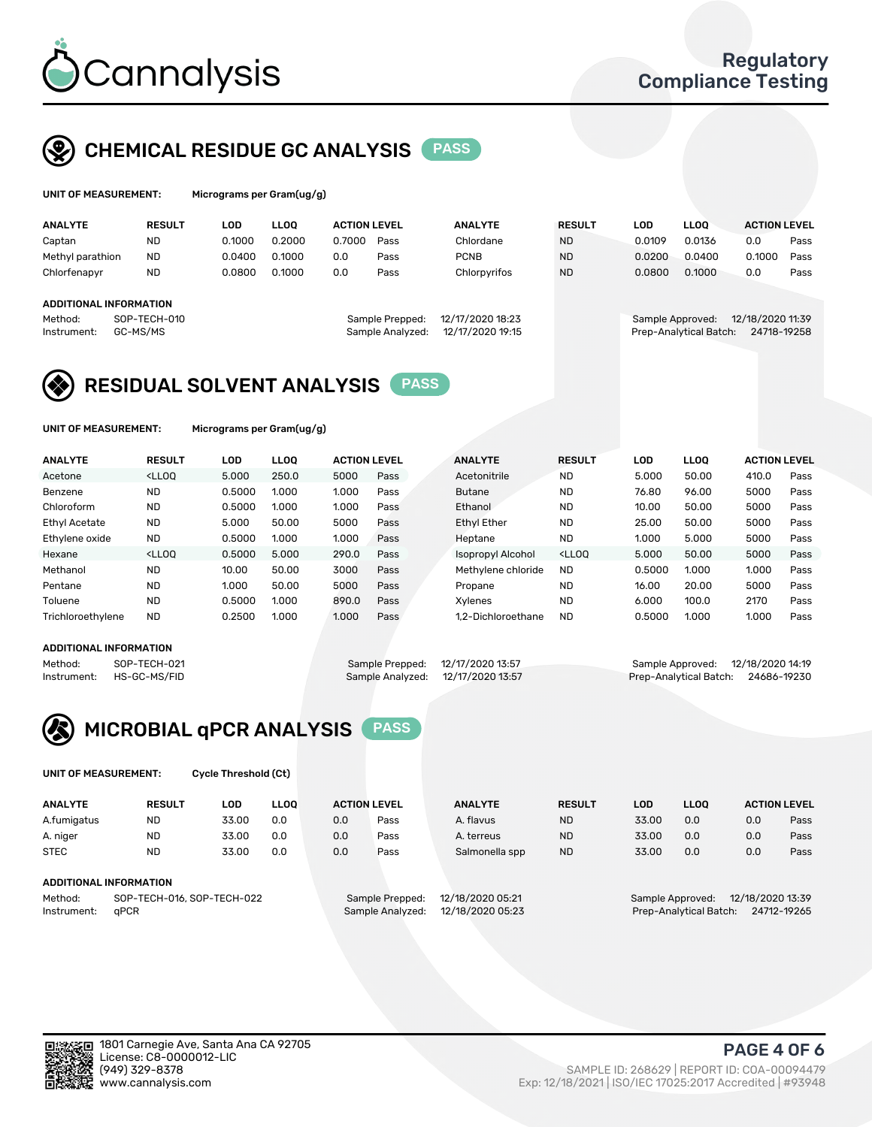

## CHEMICAL RESIDUE GC ANALYSIS PASS

| UNIT OF MEASUREMENT: | Micrograms per Gram(ug/g) |
|----------------------|---------------------------|
|                      |                           |

| Micrograms per Gram(ug/g) |  |
|---------------------------|--|
|---------------------------|--|

| <b>ANALYTE</b>                                   | <b>RESULT</b>            | LOD    | <b>LLOO</b> | <b>ACTION LEVEL</b> |                                     | <b>ANALYTE</b>                       | <b>RESULT</b> | LOD              | <b>LLOO</b>            | <b>ACTION LEVEL</b>             |      |
|--------------------------------------------------|--------------------------|--------|-------------|---------------------|-------------------------------------|--------------------------------------|---------------|------------------|------------------------|---------------------------------|------|
| Captan                                           | <b>ND</b>                | 0.1000 | 0.2000      | 0.7000              | Pass                                | Chlordane                            | <b>ND</b>     | 0.0109           | 0.0136                 | 0.0                             | Pass |
| Methyl parathion                                 | <b>ND</b>                | 0.0400 | 0.1000      | 0.0                 | Pass                                | <b>PCNB</b>                          | <b>ND</b>     | 0.0200           | 0.0400                 | 0.1000                          | Pass |
| Chlorfenapyr                                     | <b>ND</b>                | 0.0800 | 0.1000      | 0.0                 | Pass                                | Chlorpyrifos                         | <b>ND</b>     | 0.0800           | 0.1000                 | 0.0                             | Pass |
| ADDITIONAL INFORMATION<br>Method:<br>Instrument: | SOP-TECH-010<br>GC-MS/MS |        |             |                     | Sample Prepped:<br>Sample Analyzed: | 12/17/2020 18:23<br>12/17/2020 19:15 |               | Sample Approved: | Prep-Analytical Batch: | 12/18/2020 11:39<br>24718-19258 |      |

## RESIDUAL SOLVENT ANALYSIS PASS

UNIT OF MEASUREMENT: Micrograms per Gram(ug/g)

| <b>ANALYTE</b>       | <b>RESULT</b>                                                                                                                                                                               | LOD    | <b>LLOO</b> | <b>ACTION LEVEL</b> |      | <b>ANALYTE</b>     | <b>RESULT</b>                                                               | <b>LOD</b> | <b>LLOO</b> | <b>ACTION LEVEL</b> |      |
|----------------------|---------------------------------------------------------------------------------------------------------------------------------------------------------------------------------------------|--------|-------------|---------------------|------|--------------------|-----------------------------------------------------------------------------|------------|-------------|---------------------|------|
| Acetone              | <lloo< td=""><td>5.000</td><td>250.0</td><td>5000</td><td>Pass</td><td>Acetonitrile</td><td><b>ND</b></td><td>5.000</td><td>50.00</td><td>410.0</td><td>Pass</td></lloo<>                   | 5.000  | 250.0       | 5000                | Pass | Acetonitrile       | <b>ND</b>                                                                   | 5.000      | 50.00       | 410.0               | Pass |
| Benzene              | <b>ND</b>                                                                                                                                                                                   | 0.5000 | 1.000       | 1.000               | Pass | <b>Butane</b>      | <b>ND</b>                                                                   | 76.80      | 96.00       | 5000                | Pass |
| Chloroform           | <b>ND</b>                                                                                                                                                                                   | 0.5000 | 1.000       | 1.000               | Pass | Ethanol            | <b>ND</b>                                                                   | 10.00      | 50.00       | 5000                | Pass |
| <b>Ethyl Acetate</b> | <b>ND</b>                                                                                                                                                                                   | 5.000  | 50.00       | 5000                | Pass | <b>Ethyl Ether</b> | <b>ND</b>                                                                   | 25.00      | 50.00       | 5000                | Pass |
| Ethylene oxide       | <b>ND</b>                                                                                                                                                                                   | 0.5000 | 1.000       | 1.000               | Pass | Heptane            | <b>ND</b>                                                                   | 1.000      | 5.000       | 5000                | Pass |
| Hexane               | <lloo< td=""><td>0.5000</td><td>5.000</td><td>290.0</td><td>Pass</td><td>Isopropyl Alcohol</td><td><lloo< td=""><td>5.000</td><td>50.00</td><td>5000</td><td>Pass</td></lloo<></td></lloo<> | 0.5000 | 5.000       | 290.0               | Pass | Isopropyl Alcohol  | <lloo< td=""><td>5.000</td><td>50.00</td><td>5000</td><td>Pass</td></lloo<> | 5.000      | 50.00       | 5000                | Pass |
| Methanol             | <b>ND</b>                                                                                                                                                                                   | 10.00  | 50.00       | 3000                | Pass | Methylene chloride | <b>ND</b>                                                                   | 0.5000     | 1.000       | 1.000               | Pass |
| Pentane              | <b>ND</b>                                                                                                                                                                                   | 1.000  | 50.00       | 5000                | Pass | Propane            | <b>ND</b>                                                                   | 16.00      | 20.00       | 5000                | Pass |
| Toluene              | <b>ND</b>                                                                                                                                                                                   | 0.5000 | 1.000       | 890.0               | Pass | Xvlenes            | <b>ND</b>                                                                   | 6.000      | 100.0       | 2170                | Pass |
| Trichloroethylene    | <b>ND</b>                                                                                                                                                                                   | 0.2500 | 1.000       | 1.000               | Pass | 1.2-Dichloroethane | <b>ND</b>                                                                   | 0.5000     | 1.000       | 1.000               | Pass |

#### ADDITIONAL INFORMATION

|         | ADDITIONAL INFORMATION   |                                   |                                    |
|---------|--------------------------|-----------------------------------|------------------------------------|
| Method: | SOP-TECH-021             | Sample Prepped: 12/17/2020 13:57  | Sample Approved: 12/18/2020 14:19  |
|         | Instrument: HS-GC-MS/FID | Sample Analyzed: 12/17/2020 13:57 | Prep-Analytical Batch: 24686-19230 |



UNIT OF MEASUREMENT: Cycle Threshold (Ct)

| <b>ANALYTE</b>                        | <b>RESULT</b>          | LOD   | <b>LLOO</b> |                 | <b>ACTION LEVEL</b> | <b>ANALYTE</b>   | <b>RESULT</b> | <b>LOD</b>       | <b>LLOO</b>            |     | <b>ACTION LEVEL</b> |
|---------------------------------------|------------------------|-------|-------------|-----------------|---------------------|------------------|---------------|------------------|------------------------|-----|---------------------|
| A.fumigatus                           | <b>ND</b>              | 33.00 | 0.0         | 0.0             | Pass                | A. flavus        | <b>ND</b>     | 33.00            | 0.0                    | 0.0 | Pass                |
| A. niger                              | <b>ND</b>              | 33.00 | 0.0         | 0.0             | Pass                | A. terreus       | <b>ND</b>     | 33.00            | 0.0                    | 0.0 | Pass                |
| <b>STEC</b>                           | <b>ND</b>              | 33.00 | 0.0         | 0.0             | Pass                | Salmonella spp   | <b>ND</b>     | 33.00            | 0.0                    | 0.0 | Pass                |
|                                       | ADDITIONAL INFORMATION |       |             |                 |                     |                  |               |                  |                        |     |                     |
| SOP-TECH-016, SOP-TECH-022<br>Method: |                        |       |             | Sample Prepped: | 12/18/2020 05:21    |                  |               | Sample Approved: | 12/18/2020 13:39       |     |                     |
| Instrument:                           | aPCR                   |       |             |                 | Sample Analyzed:    | 12/18/2020 05:23 |               |                  | Prep-Analytical Batch: |     | 24712-19265         |

PAGE 4 OF 6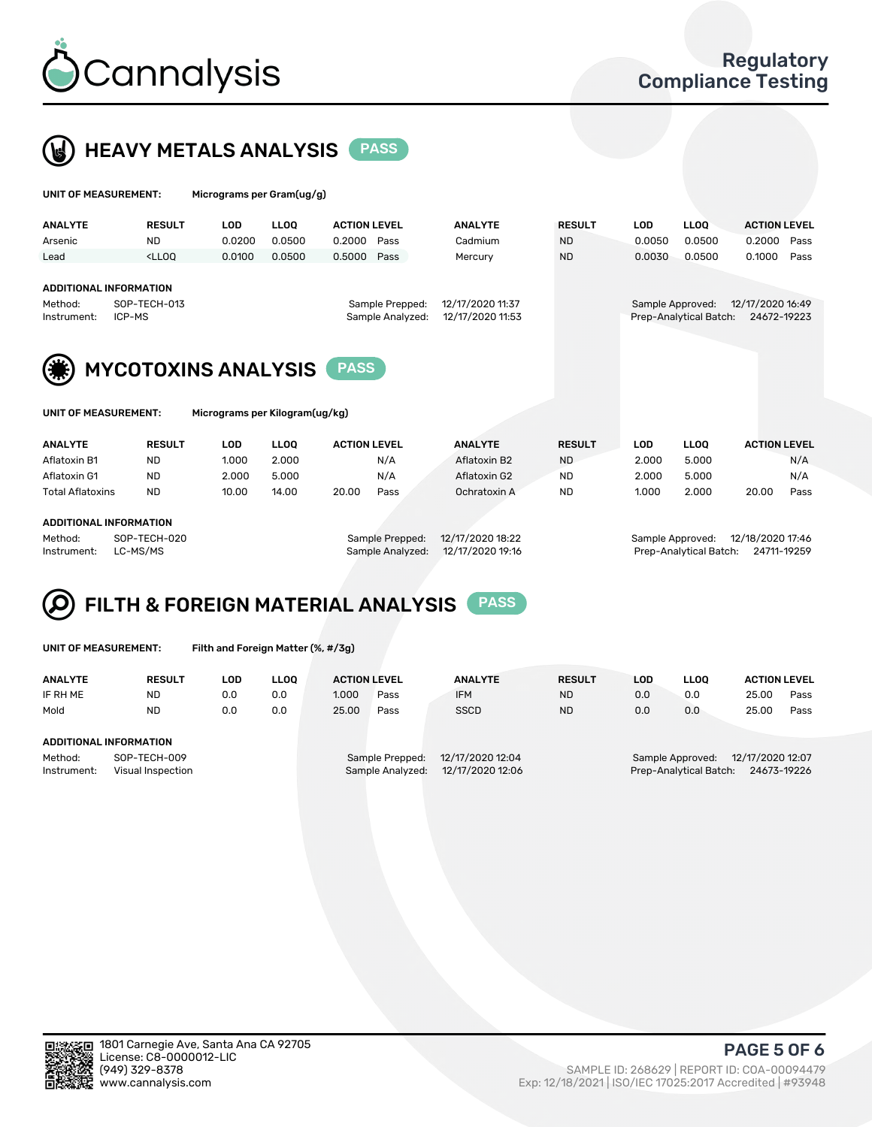

UNIT OF MEASUREMENT: Micrograms per Gram(ug/g)



| <b>ANALYTE</b>                                         | <b>RESULT</b>                                                                                                                                                           | LOD    | <b>LLOQ</b>       | <b>ACTION LEVEL</b> |      | <b>ANALYTE</b> | <b>RESULT</b> | <b>LOD</b>                                 | <b>LLOQ</b>       | <b>ACTION LEVEL</b>             |  |
|--------------------------------------------------------|-------------------------------------------------------------------------------------------------------------------------------------------------------------------------|--------|-------------------|---------------------|------|----------------|---------------|--------------------------------------------|-------------------|---------------------------------|--|
| Arsenic                                                | <b>ND</b>                                                                                                                                                               | 0.0200 | 0.0500            | 0.2000              | Pass | Cadmium        | <b>ND</b>     | 0.0050                                     | 0.0500            | 0.2000<br>Pass                  |  |
| Lead                                                   | <lloo< th=""><th>0.0100</th><th>0.0500</th><th>0.5000</th><th>Pass</th><th>Mercury</th><th><b>ND</b></th><th>0.0030</th><th>0.0500</th><th>0.1000<br/>Pass</th></lloo<> | 0.0100 | 0.0500            | 0.5000              | Pass | Mercury        | <b>ND</b>     | 0.0030                                     | 0.0500            | 0.1000<br>Pass                  |  |
| Method:<br>Instrument:                                 | ADDITIONAL INFORMATION<br>12/17/2020 11:37<br>SOP-TECH-013<br>Sample Prepped:<br>Sample Analyzed:<br>12/17/2020 11:53<br>ICP-MS                                         |        |                   |                     |      |                |               | Sample Approved:<br>Prep-Analytical Batch: |                   | 12/17/2020 16:49<br>24672-19223 |  |
| <b>MYCOTOXINS ANALYSIS</b><br><b>PASS</b>              |                                                                                                                                                                         |        |                   |                     |      |                |               |                                            |                   |                                 |  |
| Micrograms per Kilogram(ug/kg)<br>UNIT OF MEASUREMENT: |                                                                                                                                                                         |        |                   |                     |      |                |               |                                            |                   |                                 |  |
| ANAI VTE                                               | <b>DECIHT</b>                                                                                                                                                           | ה ה    | $\overline{1100}$ | <b>ACTION LEVEL</b> |      | ANAI VTE       | <b>DECHIT</b> | ח הו                                       | $\overline{1100}$ | ACTION LEVEL                    |  |

| <b>ANALYTE</b>          | <b>RESULT</b>          | ∟OD             | LLOO             | <b>ACTION LEVEL</b> | <b>ANALYTE</b>   | <b>RESULT</b> | LOD              | LLOO  | <b>ACTION LEVEL</b> |      |
|-------------------------|------------------------|-----------------|------------------|---------------------|------------------|---------------|------------------|-------|---------------------|------|
| Aflatoxin B1            | <b>ND</b>              | 1.000           | 2.000            | N/A                 | Aflatoxin B2     | <b>ND</b>     | 2.000            | 5.000 |                     | N/A  |
| Aflatoxin G1            | <b>ND</b>              | 2.000           | 5.000            | N/A                 | Aflatoxin G2     | ND            | 2.000            | 5.000 |                     | N/A  |
| <b>Total Aflatoxins</b> | ND                     | 10.00           | 14.00            | 20.00<br>Pass       | Ochratoxin A     | ND            | 1.000            | 2.000 | 20.00               | Pass |
|                         |                        |                 |                  |                     |                  |               |                  |       |                     |      |
|                         | ADDITIONAL INFORMATION |                 |                  |                     |                  |               |                  |       |                     |      |
| Method:<br>SOP-TECH-020 |                        | Sample Prepped: | 12/17/2020 18:22 |                     | Sample Approved: |               | 12/18/2020 17:46 |       |                     |      |

Instrument: LC-MS/MS Sample Analyzed: 12/17/2020 19:16 Prep-Analytical Batch: 24711-19259

#### FILTH & FOREIGN MATERIAL ANALYSIS PASS Q

UNIT OF MEASUREMENT: Filth and Foreign Matter (%, #/3g)

| <b>ANALYTE</b>                                              | <b>RESULT</b> | LOD | <b>LLOO</b> | <b>ACTION LEVEL</b>                                                         |      | <b>ANALYTE</b> | <b>RESULT</b> | LOD                                                                           | <b>LLOO</b> | <b>ACTION LEVEL</b> |      |  |
|-------------------------------------------------------------|---------------|-----|-------------|-----------------------------------------------------------------------------|------|----------------|---------------|-------------------------------------------------------------------------------|-------------|---------------------|------|--|
| IF RH ME                                                    | <b>ND</b>     | 0.0 | 0.0         | 1.000                                                                       | Pass | <b>IFM</b>     | <b>ND</b>     | 0.0                                                                           | 0.0         | 25.00               | Pass |  |
| Mold                                                        | <b>ND</b>     | 0.0 | 0.0         | 25.00                                                                       | Pass | <b>SSCD</b>    | <b>ND</b>     | 0.0                                                                           | 0.0         | 25.00               | Pass |  |
| ADDITIONAL INFORMATION                                      |               |     |             |                                                                             |      |                |               |                                                                               |             |                     |      |  |
| Method:<br>SOP-TECH-009<br>Instrument:<br>Visual Inspection |               |     |             | 12/17/2020 12:04<br>Sample Prepped:<br>12/17/2020 12:06<br>Sample Analyzed: |      |                |               | 12/17/2020 12:07<br>Sample Approved:<br>Prep-Analytical Batch:<br>24673-19226 |             |                     |      |  |



PAGE 5 OF 6